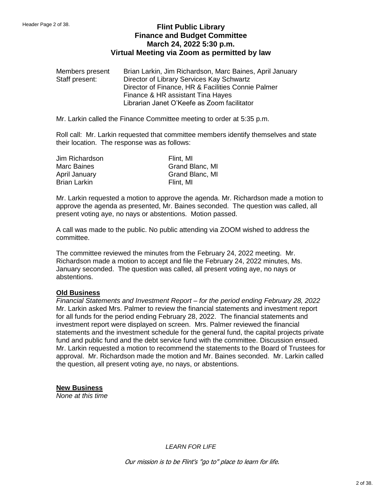# **Flint Public Library Finance and Budget Committee March 24, 2022 5:30 p.m. Virtual Meeting via Zoom as permitted by law**

Members present Brian Larkin, Jim Richardson, Marc Baines, April January Staff present: Director of Library Services Kay Schwartz Director of Finance, HR & Facilities Connie Palmer Finance & HR assistant Tina Hayes Librarian Janet O'Keefe as Zoom facilitator

Mr. Larkin called the Finance Committee meeting to order at 5:35 p.m.

Roll call: Mr. Larkin requested that committee members identify themselves and state their location. The response was as follows:

| Jim Richardson      | Flint, MI       |
|---------------------|-----------------|
| Marc Baines         | Grand Blanc, MI |
| April January       | Grand Blanc, MI |
| <b>Brian Larkin</b> | Flint, MI       |

Mr. Larkin requested a motion to approve the agenda. Mr. Richardson made a motion to approve the agenda as presented, Mr. Baines seconded. The question was called, all present voting aye, no nays or abstentions. Motion passed.

A call was made to the public. No public attending via ZOOM wished to address the committee.

The committee reviewed the minutes from the February 24, 2022 meeting. Mr. Richardson made a motion to accept and file the February 24, 2022 minutes, Ms. January seconded. The question was called, all present voting aye, no nays or abstentions.

#### **Old Business**

*Financial Statements and Investment Report – for the period ending February 28, 2022* Mr. Larkin asked Mrs. Palmer to review the financial statements and investment report for all funds for the period ending February 28, 2022. The financial statements and investment report were displayed on screen. Mrs. Palmer reviewed the financial statements and the investment schedule for the general fund, the capital projects private fund and public fund and the debt service fund with the committee. Discussion ensued. Mr. Larkin requested a motion to recommend the statements to the Board of Trustees for approval. Mr. Richardson made the motion and Mr. Baines seconded. Mr. Larkin called the question, all present voting aye, no nays, or abstentions.

#### **New Business**

*None at this time*

*LEARN FOR LIFE*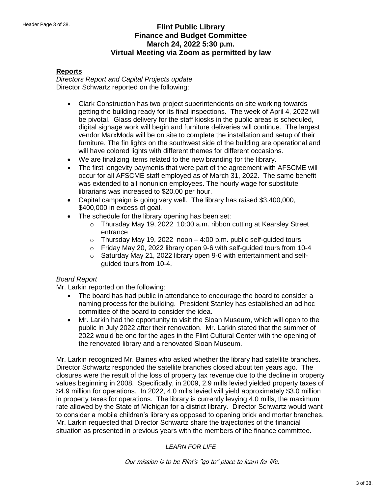# **Flint Public Library Finance and Budget Committee March 24, 2022 5:30 p.m. Virtual Meeting via Zoom as permitted by law**

### **Reports**

*Directors Report and Capital Projects update* Director Schwartz reported on the following:

- Clark Construction has two project superintendents on site working towards getting the building ready for its final inspections. The week of April 4, 2022 will be pivotal. Glass delivery for the staff kiosks in the public areas is scheduled, digital signage work will begin and furniture deliveries will continue. The largest vendor MarxModa will be on site to complete the installation and setup of their furniture. The fin lights on the southwest side of the building are operational and will have colored lights with different themes for different occasions.
- We are finalizing items related to the new branding for the library.
- The first longevity payments that were part of the agreement with AFSCME will occur for all AFSCME staff employed as of March 31, 2022. The same benefit was extended to all nonunion employees. The hourly wage for substitute librarians was increased to \$20.00 per hour.
- Capital campaign is going very well. The library has raised \$3,400,000, \$400,000 in excess of goal.
- The schedule for the library opening has been set:
	- o Thursday May 19, 2022 10:00 a.m. ribbon cutting at Kearsley Street entrance
	- $\circ$  Thursday May 19, 2022 noon  $-$  4:00 p.m. public self-guided tours
	- o Friday May 20, 2022 library open 9-6 with self-guided tours from 10-4
	- $\circ$  Saturday May 21, 2022 library open 9-6 with entertainment and selfguided tours from 10-4.

### *Board Report*

Mr. Larkin reported on the following:

- The board has had public in attendance to encourage the board to consider a naming process for the building. President Stanley has established an ad hoc committee of the board to consider the idea.
- Mr. Larkin had the opportunity to visit the Sloan Museum, which will open to the public in July 2022 after their renovation. Mr. Larkin stated that the summer of 2022 would be one for the ages in the Flint Cultural Center with the opening of the renovated library and a renovated Sloan Museum.

Mr. Larkin recognized Mr. Baines who asked whether the library had satellite branches. Director Schwartz responded the satellite branches closed about ten years ago. The closures were the result of the loss of property tax revenue due to the decline in property values beginning in 2008. Specifically, in 2009, 2.9 mills levied yielded property taxes of \$4.9 million for operations. In 2022, 4.0 mills levied will yield approximately \$3.0 million in property taxes for operations. The library is currently levying 4.0 mills, the maximum rate allowed by the State of Michigan for a district library. Director Schwartz would want to consider a mobile children's library as opposed to opening brick and mortar branches. Mr. Larkin requested that Director Schwartz share the trajectories of the financial situation as presented in previous years with the members of the finance committee.

### *LEARN FOR LIFE*